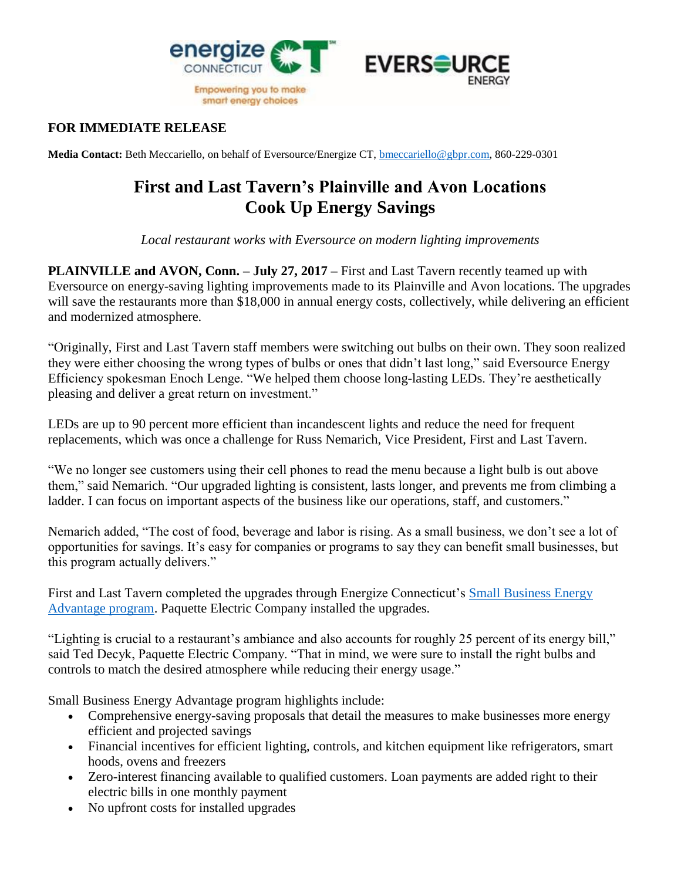



## **FOR IMMEDIATE RELEASE**

**Media Contact:** Beth Meccariello, on behalf of Eversource/Energize CT, [bmeccariello@gbpr.com,](mailto:bmeccariello@gbpr.com) 860-229-0301

## **First and Last Tavern's Plainville and Avon Locations Cook Up Energy Savings**

*Local restaurant works with Eversource on modern lighting improvements*

**PLAINVILLE and AVON, Conn. – July 27, 2017 –** First and Last Tavern recently teamed up with Eversource on energy-saving lighting improvements made to its Plainville and Avon locations. The upgrades will save the restaurants more than \$18,000 in annual energy costs, collectively, while delivering an efficient and modernized atmosphere.

"Originally, First and Last Tavern staff members were switching out bulbs on their own. They soon realized they were either choosing the wrong types of bulbs or ones that didn't last long," said Eversource Energy Efficiency spokesman Enoch Lenge. "We helped them choose long-lasting LEDs. They're aesthetically pleasing and deliver a great return on investment."

LEDs are up to 90 percent more efficient than incandescent lights and reduce the need for frequent replacements, which was once a challenge for Russ Nemarich, Vice President, First and Last Tavern.

"We no longer see customers using their cell phones to read the menu because a light bulb is out above them," said Nemarich. "Our upgraded lighting is consistent, lasts longer, and prevents me from climbing a ladder. I can focus on important aspects of the business like our operations, staff, and customers."

Nemarich added, "The cost of food, beverage and labor is rising. As a small business, we don't see a lot of opportunities for savings. It's easy for companies or programs to say they can benefit small businesses, but this program actually delivers."

First and Last Tavern completed the upgrades through Energize Connecticut's [Small Business Energy](https://www.energizect.com/your-business/solutions-list/Small-Business-Energy-Advantage)  [Advantage program.](https://www.energizect.com/your-business/solutions-list/Small-Business-Energy-Advantage) Paquette Electric Company installed the upgrades.

"Lighting is crucial to a restaurant's ambiance and also accounts for roughly 25 percent of its energy bill," said Ted Decyk, Paquette Electric Company. "That in mind, we were sure to install the right bulbs and controls to match the desired atmosphere while reducing their energy usage."

Small Business Energy Advantage program highlights include:

- Comprehensive energy-saving proposals that detail the measures to make businesses more energy efficient and projected savings
- Financial incentives for efficient lighting, controls, and kitchen equipment like refrigerators, smart hoods, ovens and freezers
- Zero-interest financing available to qualified customers. Loan payments are added right to their electric bills in one monthly payment
- No upfront costs for installed upgrades